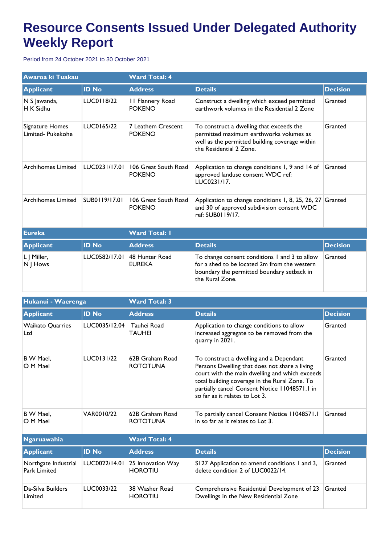## **Resource Consents Issued Under Delegated Authority Weekly Report**

Period from 24 October 2021 to 30 October 2021

| Awaroa ki Tuakau                     |               | <b>Ward Total: 4</b>                     |                                                                                                                                                                  |                 |  |
|--------------------------------------|---------------|------------------------------------------|------------------------------------------------------------------------------------------------------------------------------------------------------------------|-----------------|--|
| <b>Applicant</b>                     | <b>ID No</b>  | <b>Address</b>                           | <b>Details</b>                                                                                                                                                   | <b>Decision</b> |  |
| N S Jawanda,<br>H K Sidhu            | LUC0118/22    | <b>11 Flannery Road</b><br><b>POKENO</b> | Construct a dwelling which exceed permitted<br>earthwork volumes in the Residential 2 Zone                                                                       | Granted         |  |
| Signature Homes<br>Limited- Pukekohe | LUC0165/22    | 7 Leathem Crescent<br><b>POKENO</b>      | To construct a dwelling that exceeds the<br>permitted maximum earthworks volumes as<br>well as the permitted building coverage within<br>the Residential 2 Zone. | Granted         |  |
| <b>Archihomes Limited</b>            | LUC0231/17.01 | 106 Great South Road<br><b>POKENO</b>    | Application to change conditions 1, 9 and 14 of<br>approved landuse consent WDC ref:<br>LUC0231/17.                                                              | Granted         |  |
| <b>Archihomes Limited</b>            | SUB0119/17.01 | 106 Great South Road<br><b>POKENO</b>    | Application to change conditions 1, 8, 25, 26, 27 Granted<br>and 30 of approved subdivision consent WDC<br>ref: SUB0119/17.                                      |                 |  |
| <b>Eureka</b>                        |               | <b>Ward Total: I</b>                     |                                                                                                                                                                  |                 |  |
| <b>Applicant</b>                     | <b>ID No</b>  | <b>Address</b>                           | <b>Details</b>                                                                                                                                                   | <b>Decision</b> |  |
| L J Miller,<br>N J Hows              | LUC0582/17.01 | 48 Hunter Road<br><b>EUREKA</b>          | To change consent conditions 1 and 3 to allow<br>for a shed to be located 2m from the western<br>boundary the permitted boundary setback in<br>the Rural Zone.   | Granted         |  |

| Hukanui - Waerenga                   |               | <b>Ward Total: 3</b>                |                                                                                                                                                                                                                                                                                |                 |  |
|--------------------------------------|---------------|-------------------------------------|--------------------------------------------------------------------------------------------------------------------------------------------------------------------------------------------------------------------------------------------------------------------------------|-----------------|--|
| <b>Applicant</b>                     | <b>ID No</b>  | <b>Address</b>                      | <b>Details</b>                                                                                                                                                                                                                                                                 | <b>Decision</b> |  |
| <b>Waikato Quarries</b><br>Ltd       | LUC0035/12.04 | Tauhei Road<br><b>TAUHEI</b>        | Application to change conditions to allow<br>increased aggregate to be removed from the<br>quarry in 2021.                                                                                                                                                                     | Granted         |  |
| B W Mael.<br>O M Mael                | LUC0131/22    | 62B Graham Road<br><b>ROTOTUNA</b>  | To construct a dwelling and a Dependant<br>Persons Dwelling that does not share a living<br>court with the main dwelling and which exceeds<br>total building coverage in the Rural Zone. To<br>partially cancel Consent Notice 11048571.1 in<br>so far as it relates to Lot 3. | Granted         |  |
| B W Mael,<br>O M Mael                | VAR0010/22    | 62B Graham Road<br><b>ROTOTUNA</b>  | To partially cancel Consent Notice 11048571.1<br>in so far as it relates to Lot 3.                                                                                                                                                                                             | Granted         |  |
| <b>Ngaruawahia</b>                   |               | <b>Ward Total: 4</b>                |                                                                                                                                                                                                                                                                                |                 |  |
| <b>Applicant</b>                     | <b>ID No</b>  | <b>Address</b>                      | <b>Details</b>                                                                                                                                                                                                                                                                 | <b>Decision</b> |  |
| Northgate Industrial<br>Park Limited | LUC0022/14.01 | 25 Innovation Way<br><b>HOROTIU</b> | S127 Application to amend conditions 1 and 3,<br>delete condition 2 of LUC0022/14.                                                                                                                                                                                             | Granted         |  |
| Da-Silva Builders<br>Limited         | LUC0033/22    | 38 Washer Road<br><b>HOROTIU</b>    | Comprehensive Residential Development of 23<br>Dwellings in the New Residential Zone                                                                                                                                                                                           | Granted         |  |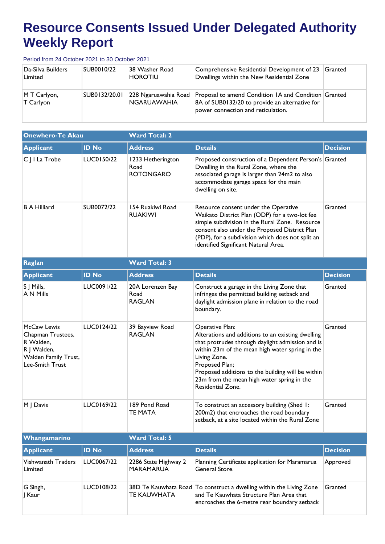## **Resource Consents Issued Under Delegated Authority Weekly Report**

Period from 24 October 2021 to 30 October 2021

| Da-Silva Builders<br>Limited          | SUB0010/22    | 38 Washer Road<br><b>HOROTIU</b>           | Comprehensive Residential Development of 23<br>Dwellings within the New Residential Zone                                                     | Granted |
|---------------------------------------|---------------|--------------------------------------------|----------------------------------------------------------------------------------------------------------------------------------------------|---------|
| $ M \mathsf{T}$ Carlyon,<br>T Carlyon | SUB0132/20.01 | 228 Ngaruawahia Road<br><b>NGARUAWAHIA</b> | Proposal to amend Condition IA and Condition Granted<br>8A of SUB0132/20 to provide an alternative for<br>power connection and reticulation. |         |

| <b>Onewhero-Te Akau</b>                                                                                 |              | <b>Ward Total: 2</b>                          |                                                                                                                                                                                                                                                                                                                                       |                 |  |
|---------------------------------------------------------------------------------------------------------|--------------|-----------------------------------------------|---------------------------------------------------------------------------------------------------------------------------------------------------------------------------------------------------------------------------------------------------------------------------------------------------------------------------------------|-----------------|--|
| <b>Applicant</b>                                                                                        | <b>ID No</b> | <b>Address</b>                                | <b>Details</b>                                                                                                                                                                                                                                                                                                                        | <b>Decision</b> |  |
| C J I La Trobe                                                                                          | LUC0150/22   | 1233 Hetherington<br>Road<br><b>ROTONGARO</b> | Proposed construction of a Dependent Person's Granted<br>Dwelling in the Rural Zone, where the<br>associated garage is larger than 24m2 to also<br>accommodate garage space for the main<br>dwelling on site.                                                                                                                         |                 |  |
| <b>B A Hilliard</b>                                                                                     | SUB0072/22   | 154 Ruakiwi Road<br><b>RUAKIWI</b>            | Resource consent under the Operative<br>Waikato District Plan (ODP) for a two-lot fee<br>simple subdivision in the Rural Zone. Resource<br>consent also under the Proposed District Plan<br>(PDP), for a subdivision which does not split an<br>identified Significant Natural Area.                                                  | Granted         |  |
| Raglan                                                                                                  |              | <b>Ward Total: 3</b>                          |                                                                                                                                                                                                                                                                                                                                       |                 |  |
| <b>Applicant</b>                                                                                        | <b>ID No</b> | <b>Address</b>                                | <b>Details</b>                                                                                                                                                                                                                                                                                                                        | <b>Decision</b> |  |
| S J Mills,<br>A N Mills                                                                                 | LUC0091/22   | 20A Lorenzen Bay<br>Road<br><b>RAGLAN</b>     | Construct a garage in the Living Zone that<br>infringes the permitted building setback and<br>daylight admission plane in relation to the road<br>boundary.                                                                                                                                                                           | Granted         |  |
| McCaw Lewis<br>Chapman Trustees,<br>R Walden,<br>R J Walden,<br>Walden Family Trust,<br>Lee-Smith Trust | LUC0124/22   | 39 Bayview Road<br><b>RAGLAN</b>              | Operative Plan:<br>Alterations and additions to an existing dwelling<br>that protrudes through daylight admission and is<br>within 23m of the mean high water spring in the<br>Living Zone.<br>Proposed Plan;<br>Proposed additions to the building will be within<br>23m from the mean high water spring in the<br>Residential Zone. | Granted         |  |
| M J Davis                                                                                               | LUC0169/22   | 189 Pond Road<br>TE MATA                      | To construct an accessory building (Shed 1:<br>200m2) that encroaches the road boundary<br>setback, at a site located within the Rural Zone                                                                                                                                                                                           | Granted         |  |
| Whangamarino                                                                                            |              | <b>Ward Total: 5</b>                          |                                                                                                                                                                                                                                                                                                                                       |                 |  |
| <b>Applicant</b>                                                                                        | <b>ID No</b> | <b>Address</b>                                | <b>Details</b>                                                                                                                                                                                                                                                                                                                        | <b>Decision</b> |  |
| <b>Vishwanath Traders</b><br>Limited                                                                    | LUC0067/22   | 2286 State Highway 2<br><b>MARAMARUA</b>      | Planning Certificate application for Maramarua<br>General Store.                                                                                                                                                                                                                                                                      | Approved        |  |
| G Singh,<br>  Kaur                                                                                      | LUC0108/22   | <b>TE KAUWHATA</b>                            | 38D Te Kauwhata Road   To construct a dwelling within the Living Zone<br>and Te Kauwhata Structure Plan Area that<br>encroaches the 6-metre rear boundary setback                                                                                                                                                                     | Granted         |  |